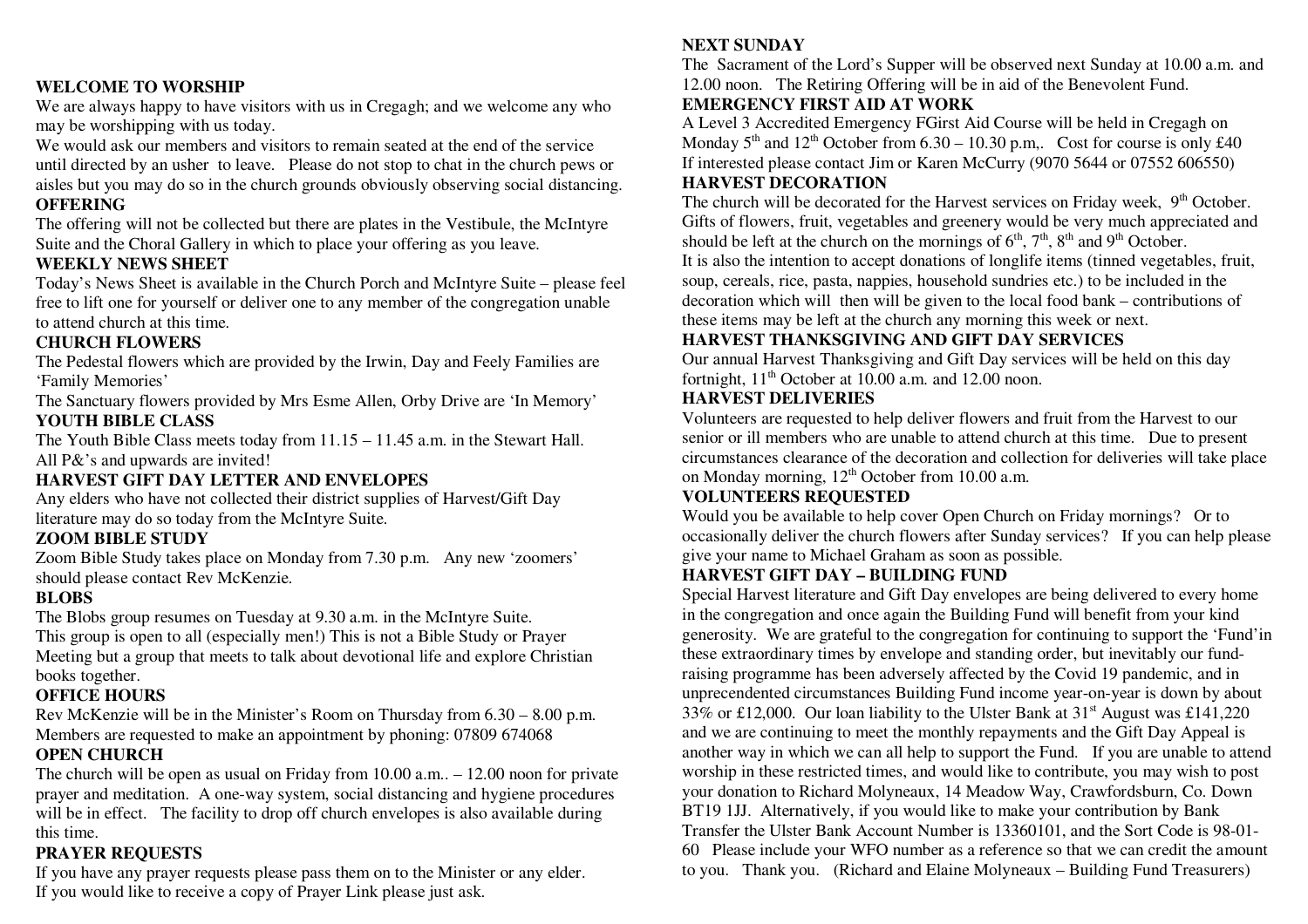#### **WELCOME TO WORSHIP**

 We are always happy to have visitors with us in Cregagh; and we welcome any who may be worshipping with us today.

We would ask our members and visitors to remain seated at the end of the service until directed by an usher to leave. Please do not stop to chat in the church pews or aisles but you may do so in the church grounds obviously observing social distancing. **OFFERING** 

 The offering will not be collected but there are plates in the Vestibule, the McIntyre Suite and the Choral Gallery in which to place your offering as you leave.

#### **WEEKLY NEWS SHEET**

 Today's News Sheet is available in the Church Porch and McIntyre Suite – please feel free to lift one for yourself or deliver one to any member of the congregation unable to attend church at this time.

#### **CHURCH FLOWERS**

 The Pedestal flowers which are provided by the Irwin, Day and Feely Families are 'Family Memories'

 The Sanctuary flowers provided by Mrs Esme Allen, Orby Drive are 'In Memory' **YOUTH BIBLE CLASS** 

 The Youth Bible Class meets today from 11.15 – 11.45 a.m. in the Stewart Hall. All P&'s and upwards are invited!

#### **HARVEST GIFT DAY LETTER AND ENVELOPES**

 Any elders who have not collected their district supplies of Harvest/Gift Day literature may do so today from the McIntyre Suite.

#### **ZOOM BIBLE STUDY**

 Zoom Bible Study takes place on Monday from 7.30 p.m. Any new 'zoomers' should please contact Rev McKenzie.

#### **BLOBS**

 The Blobs group resumes on Tuesday at 9.30 a.m. in the McIntyre Suite. This group is open to all (especially men!) This is not a Bible Study or Prayer Meeting but a group that meets to talk about devotional life and explore Christian books together.

#### **OFFICE HOURS**

 Rev McKenzie will be in the Minister's Room on Thursday from 6.30 – 8.00 p.m. Members are requested to make an appointment by phoning: 07809 674068 **OPEN CHURCH** 

#### The church will be open as usual on Friday from 10.00 a.m.. – 12.00 noon for private prayer and meditation. A one-way system, social distancing and hygiene procedures will be in effect. The facility to drop off church envelopes is also available during this time.

#### **PRAYER REQUESTS**

 If you have any prayer requests please pass them on to the Minister or any elder. If you would like to receive a copy of Prayer Link please just ask.

#### **NEXT SUNDAY**

 The Sacrament of the Lord's Supper will be observed next Sunday at 10.00 a.m. and 12.00 noon. The Retiring Offering will be in aid of the Benevolent Fund.

#### **EMERGENCY FIRST AID AT WORK**

 A Level 3 Accredited Emergency FGirst Aid Course will be held in Cregagh on Monday  $5<sup>th</sup>$  and  $12<sup>th</sup>$  October from 6.30 – 10.30 p.m,. Cost for course is only £40 If interested please contact Jim or Karen McCurry (9070 5644 or 07552 606550) **HARVEST DECORATION** 

The church will be decorated for the Harvest services on Friday week,  $9<sup>th</sup>$  October. Gifts of flowers, fruit, vegetables and greenery would be very much appreciated and should be left at the church on the mornings of  $6<sup>th</sup>$ ,  $7<sup>th</sup>$ ,  $8<sup>th</sup>$  and  $9<sup>th</sup>$  October.

 It is also the intention to accept donations of longlife items (tinned vegetables, fruit, soup, cereals, rice, pasta, nappies, household sundries etc.) to be included in the decoration which will then will be given to the local food bank – contributions of these items may be left at the church any morning this week or next.

#### **HARVEST THANKSGIVING AND GIFT DAY SERVICES**

 Our annual Harvest Thanksgiving and Gift Day services will be held on this day fortnight,  $11<sup>th</sup>$  October at 10.00 a.m. and 12.00 noon.

#### **HARVEST DELIVERIES**

 Volunteers are requested to help deliver flowers and fruit from the Harvest to our senior or ill members who are unable to attend church at this time. Due to present circumstances clearance of the decoration and collection for deliveries will take place on Monday morning,  $12<sup>th</sup>$  October from 10.00 a.m.

#### **VOLUNTEERS REQUESTED**

 Would you be available to help cover Open Church on Friday mornings? Or to occasionally deliver the church flowers after Sunday services? If you can help please give your name to Michael Graham as soon as possible.

#### **HARVEST GIFT DAY – BUILDING FUND**

 Special Harvest literature and Gift Day envelopes are being delivered to every home in the congregation and once again the Building Fund will benefit from your kind generosity. We are grateful to the congregation for continuing to support the 'Fund'in these extraordinary times by envelope and standing order, but inevitably our fundraising programme has been adversely affected by the Covid 19 pandemic, and in unprecendented circumstances Building Fund income year-on-year is down by about 33% or £12,000. Our loan liability to the Ulster Bank at  $31<sup>st</sup>$  August was £141,220 and we are continuing to meet the monthly repayments and the Gift Day Appeal is another way in which we can all help to support the Fund. If you are unable to attend worship in these restricted times, and would like to contribute, you may wish to post your donation to Richard Molyneaux, 14 Meadow Way, Crawfordsburn, Co. Down BT19 1JJ. Alternatively, if you would like to make your contribution by Bank Transfer the Ulster Bank Account Number is 13360101, and the Sort Code is 98-01- 60 Please include your WFO number as a reference so that we can credit the amount to you. Thank you. (Richard and Elaine Molyneaux – Building Fund Treasurers)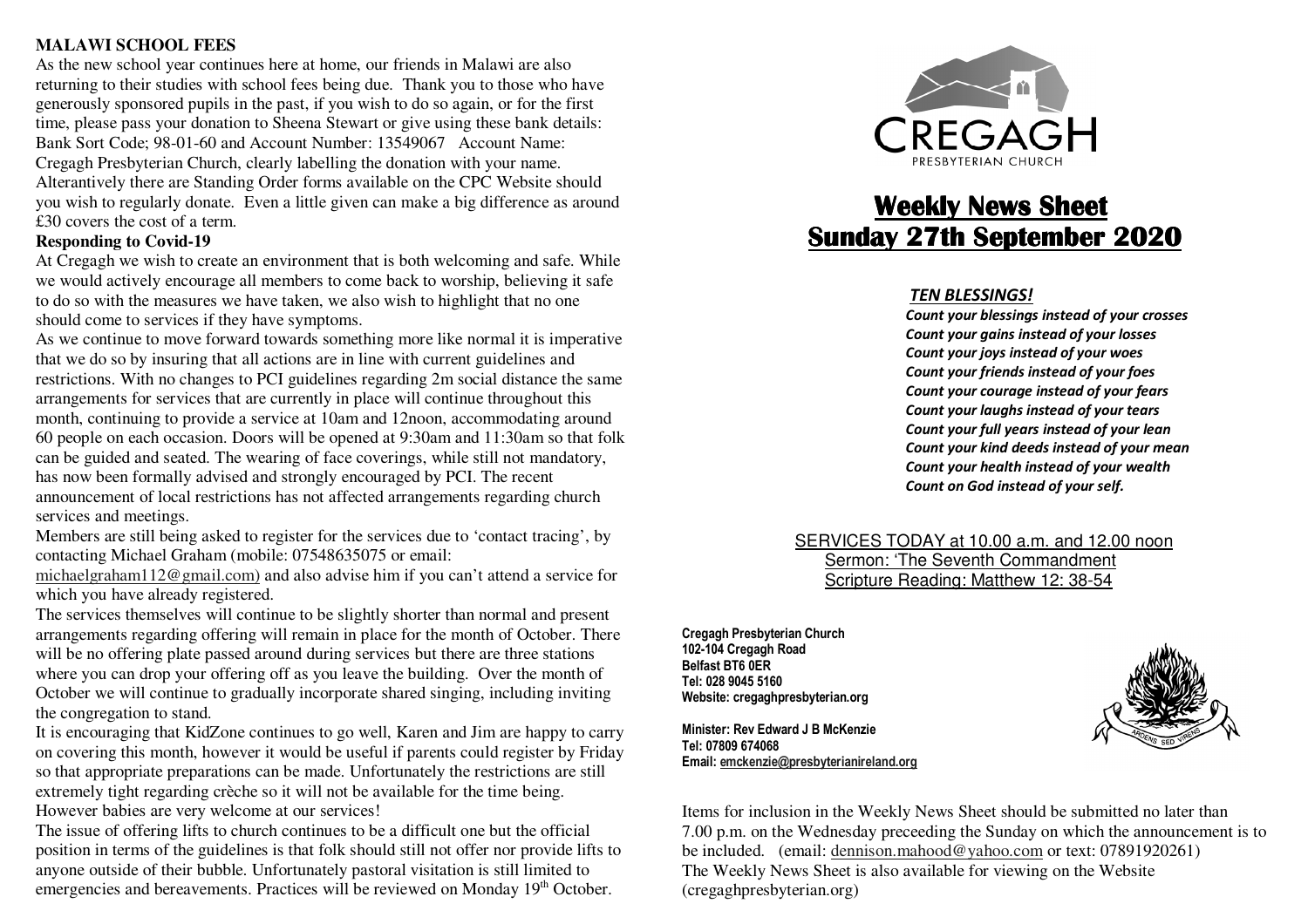#### **MALAWI SCHOOL FEES**

 As the new school year continues here at home, our friends in Malawi are also returning to their studies with school fees being due. Thank you to those who have generously sponsored pupils in the past, if you wish to do so again, or for the first time, please pass your donation to Sheena Stewart or give using these bank details: Bank Sort Code; 98-01-60 and Account Number: 13549067 Account Name: Cregagh Presbyterian Church, clearly labelling the donation with your name. Alterantively there are Standing Order forms available on the CPC Website should you wish to regularly donate. Even a little given can make a big difference as around £30 covers the cost of a term.

#### **Responding to Covid-19**

 At Cregagh we wish to create an environment that is both welcoming and safe. While we would actively encourage all members to come back to worship, believing it safe to do so with the measures we have taken, we also wish to highlight that no one should come to services if they have symptoms.

 As we continue to move forward towards something more like normal it is imperative that we do so by insuring that all actions are in line with current guidelines and restrictions. With no changes to PCI guidelines regarding 2m social distance the same arrangements for services that are currently in place will continue throughout this month, continuing to provide a service at 10am and 12noon, accommodating around 60 people on each occasion. Doors will be opened at 9:30am and 11:30am so that folk can be guided and seated. The wearing of face coverings, while still not mandatory, has now been formally advised and strongly encouraged by PCI. The recent announcement of local restrictions has not affected arrangements regarding church services and meetings.

 Members are still being asked to register for the services due to 'contact tracing', by contacting Michael Graham (mobile: 07548635075 or email:

michaelgraham112@gmail.com) and also advise him if you can't attend a service for which you have already registered.

 The services themselves will continue to be slightly shorter than normal and present arrangements regarding offering will remain in place for the month of October. There will be no offering plate passed around during services but there are three stations where you can drop your offering off as you leave the building. Over the month of October we will continue to gradually incorporate shared singing, including inviting the congregation to stand.

 It is encouraging that KidZone continues to go well, Karen and Jim are happy to carry on covering this month, however it would be useful if parents could register by Friday so that appropriate preparations can be made. Unfortunately the restrictions are still extremely tight regarding crèche so it will not be available for the time being. However babies are very welcome at our services!

The issue of offering lifts to church continues to be a difficult one but the official position in terms of the guidelines is that folk should still not offer nor provide lifts to anyone outside of their bubble. Unfortunately pastoral visitation is still limited to emergencies and bereavements. Practices will be reviewed on Monday 19<sup>th</sup> October.



## **Weekly News Sheet <u>Sunday 27th September 2020</u>**

#### *TEN BLESSINGS!*

 *Count your blessings instead of your crosses Count your gains instead of your losses Count your joys instead of your woes Count your friends instead of your foes Count your courage instead of your fears Count your laughs instead of your tears Count your full years instead of your lean Count your kind deeds instead of your mean Count your health instead of your wealth Count on God instead of your self.*

 SERVICES TODAY at 10.00 a.m. and 12.00 noon Sermon: 'The Seventh Commandment Scripture Reading: Matthew 12: 38-54

**Cregagh Presbyterian Church 102-104 Cregagh Road Belfast BT6 0ER Tel: 028 9045 5160 Website: cregaghpresbyterian.org** 

**Minister: Rev Edward J B McKenzie Tel: 07809 674068 Email: emckenzie@presbyterianireland.org**



Items for inclusion in the Weekly News Sheet should be submitted no later than 7.00 p.m. on the Wednesday preceeding the Sunday on which the announcement is to be included. (email: dennison.mahood@yahoo.com or text: 07891920261) The Weekly News Sheet is also available for viewing on the Website (cregaghpresbyterian.org)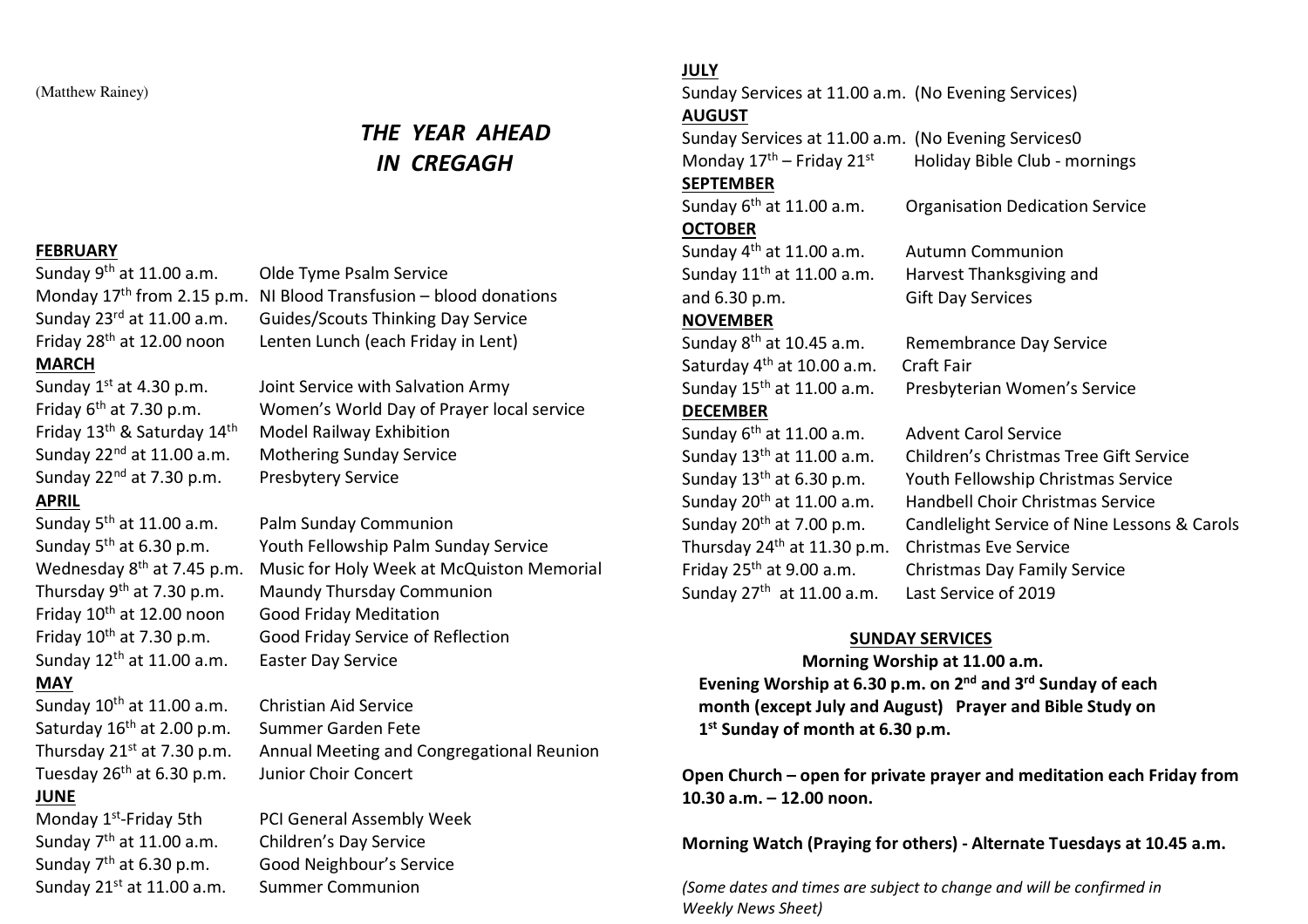(Matthew Rainey)

### *THE YEAR AHEAD IN CREGAGH*

#### **FEBRUARY**

Sunday 9th at 11.00 a.m. Friday 28th at 12.00 noon Lenten Lunch (each Friday in Lent)

#### **MARCH**

Friday 13th & Saturday 14th Model Railway Exhibition Sunday 22<sup>nd</sup> at 7.30 p.m. Presbytery Service **APRIL** 

# Friday 10th at 12.00 noon Good Friday Meditation Sunday 12th at 11.00 a.m. Easter Day Service **MAY**

Sunday 10<sup>th</sup> at 11.00 a.m. Christian Aid Service Saturday 16<sup>th</sup> at 2.00 p.m. Summer Garden Fete Tuesday 26<sup>th</sup> at 6.30 p.m. Junior Choir Concert **JUNE** 

Sunday  $7<sup>th</sup>$  at 11.00 a.m. Children's Day Service Sunday 21<sup>st</sup> at 11.00 a.m. Summer Communion

Olde Tyme Psalm Service Monday  $17<sup>th</sup>$  from 2.15 p.m. NI Blood Transfusion – blood donations Sunday 23rd at 11.00 a.m. Guides/Scouts Thinking Day Service

Sunday  $1^{st}$  at 4.30 p.m. Joint Service with Salvation Army Friday 6th at 7.30 p.m. Women's World Day of Prayer local service Sunday 22<sup>nd</sup> at 11.00 a.m. Mothering Sunday Service

Sunday 5th at 11.00 a.m. Palm Sunday Communion Sunday 5th at 6.30 p.m. Youth Fellowship Palm Sunday Service Wednesday 8<sup>th</sup> at 7.45 p.m. Music for Holy Week at McQuiston Memorial Thursday 9th at 7.30 p.m. Maundy Thursday Communion Friday 10<sup>th</sup> at 7.30 p.m. Good Friday Service of Reflection

Thursday 21st at 7.30 p.m. Annual Meeting and Congregational Reunion

Monday 1<sup>st</sup>-Friday 5th PCI General Assembly Week Sunday 7th at 6.30 p.m. Good Neighbour's Service

#### **JULY**

Sunday Services at 11.00 a.m. (No Evening Services) **AUGUST** 

Sunday Services at 11.00 a.m. (No Evening Services0 Monday  $17<sup>th</sup>$  – Friday  $21<sup>st</sup>$  Holiday Bible Club - mornings

#### **SEPTEMBER**

Sunday 6th at 11.00 a.m. Organisation Dedication Service **OCTOBER** 

Sunday 4th at 11.00 a.m. Autumn Communion and 6.30 p.m. Gift Day Services

#### **NOVEMBER**

Saturday 4th at 10.00 a.m. Craft Fair **DECEMBER** 

Sunday 6<sup>th</sup> at 11.00 a.m. Advent Carol Service Thursday 24<sup>th</sup> at 11.30 p.m. Christmas Eve Service Sunday 27<sup>th</sup> at 11.00 a.m. Last Service of 2019

Sunday  $11<sup>th</sup>$  at 11.00 a.m. Harvest Thanksgiving and

Sunday 8th at 10.45 a.m. Remembrance Day Service Sunday 15th at 11.00 a.m. Presbyterian Women's Service

Sunday 13th at 11.00 a.m. Children's Christmas Tree Gift Service Sunday 13th at 6.30 p.m. Youth Fellowship Christmas Service Sunday 20<sup>th</sup> at 11.00 a.m. Handbell Choir Christmas Service Sunday 20th at 7.00 p.m. Candlelight Service of Nine Lessons & Carols Friday 25<sup>th</sup> at 9.00 a.m. Christmas Day Family Service

#### **SUNDAY SERVICES**

 **Morning Worship at 11.00 a.m. Evening Worship at 6.30 p.m. on 2nd and 3rd Sunday of each month (except July and August) Prayer and Bible Study on 1st Sunday of month at 6.30 p.m.** 

**Open Church – open for private prayer and meditation each Friday from 10.30 a.m. – 12.00 noon.** 

**Morning Watch (Praying for others) - Alternate Tuesdays at 10.45 a.m.**

*(Some dates and times are subject to change and will be confirmed in Weekly News Sheet)*